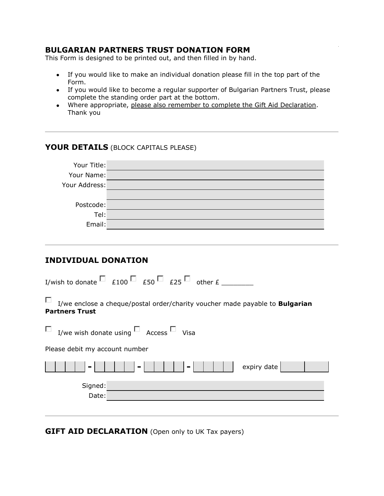### **BULGARIAN PARTNERS TRUST DONATION FORM**

This Form is designed to be printed out, and then filled in by hand.

- If you would like to make an individual donation please fill in the top part of the Form.
- If you would like to become a regular supporter of Bulgarian Partners Trust, please complete the standing order part at the bottom.
- Where appropriate, please also remember to complete the Gift Aid Declaration. Thank you

### **YOUR DETAILS** (BLOCK CAPITALS PLEASE)

| Your Title:   |  |
|---------------|--|
| Your Name:    |  |
| Your Address: |  |
|               |  |
| Postcode:     |  |
| Tel:          |  |
| Email:        |  |

# **INDIVIDUAL DONATION**

| I/wish to donate $\Box$ $_{E100}$ $\Box$ $_{E50}$ $\Box$ $_{E25}$ $\Box$ other $_{E}$                             |  |  |
|-------------------------------------------------------------------------------------------------------------------|--|--|
| П<br>I/we enclose a cheque/postal order/charity voucher made payable to <b>Bulgarian</b><br><b>Partners Trust</b> |  |  |
| $\Box$ I/we wish donate using $\Box$ Access $\Box$ Visa                                                           |  |  |
| Please debit my account number                                                                                    |  |  |
| expiry date                                                                                                       |  |  |
| Signed:<br>Date:                                                                                                  |  |  |

**GIFT AID DECLARATION** (Open only to UK Tax payers)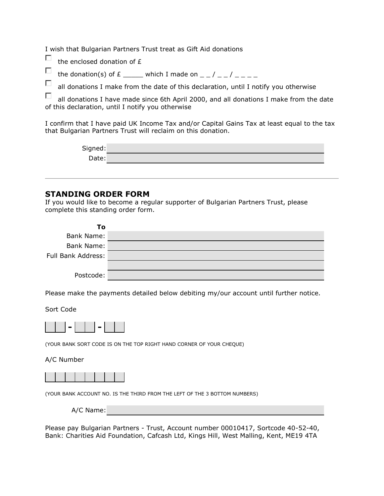I wish that Bulgarian Partners Trust treat as Gift Aid donations

П the enclosed donation of £

П the donation(s) of  $E$  \_\_\_\_\_ which I made on  $-$  /  $-$  /  $-$ 

П all donations I make from the date of this declaration, until I notify you otherwise

П all donations I have made since 6th April 2000, and all donations I make from the date of this declaration, until I notify you otherwise

I confirm that I have paid UK Income Tax and/or Capital Gains Tax at least equal to the tax that Bulgarian Partners Trust will reclaim on this donation.

| Signed: |  |
|---------|--|
| Date:   |  |

#### **STANDING ORDER FORM**

If you would like to become a regular supporter of Bulgarian Partners Trust, please complete this standing order form.

| To                 |  |
|--------------------|--|
| <b>Bank Name:</b>  |  |
| <b>Bank Name:</b>  |  |
| Full Bank Address: |  |
|                    |  |
| Postcode:          |  |

Please make the payments detailed below debiting my/our account until further notice.

Sort Code



(YOUR BANK SORT CODE IS ON THE TOP RIGHT HAND CORNER OF YOUR CHEQUE)

#### A/C Number



(YOUR BANK ACCOUNT NO. IS THE THIRD FROM THE LEFT OF THE 3 BOTTOM NUMBERS)

A/C Name:

Please pay Bulgarian Partners - Trust, Account number 00010417, Sortcode 40-52-40, Bank: Charities Aid Foundation, Cafcash Ltd, Kings Hill, West Malling, Kent, ME19 4TA